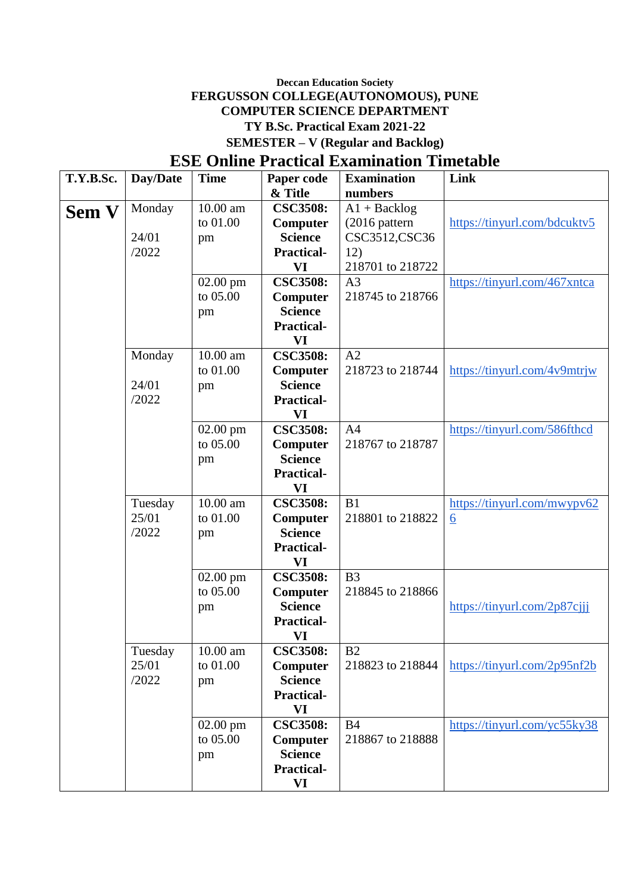### **Deccan Education Society FERGUSSON COLLEGE(AUTONOMOUS), PUNE COMPUTER SCIENCE DEPARTMENT TY B.Sc. Practical Exam 2021-22 SEMESTER – V (Regular and Backlog)**

# **ESE Online Practical Examination Timetable**

| & Title<br>numbers<br>10.00 am<br>$A1 + Backlog$<br>Monday<br><b>CSC3508:</b><br><b>Sem V</b><br>to 01.00<br>(2016 pattern<br>https://tinyurl.com/bdcuktv5<br>Computer<br>CSC3512, CSC36<br>24/01<br><b>Science</b><br>pm<br>/2022<br>12)<br><b>Practical-</b><br>VI<br>218701 to 218722<br><b>CSC3508:</b><br>$02.00$ pm<br>A <sub>3</sub><br>https://tinyurl.com/467xntca<br>to 05.00<br>Computer<br>218745 to 218766<br><b>Science</b><br>pm<br><b>Practical-</b><br>VI<br>A2<br>10.00 am<br><b>CSC3508:</b><br>Monday<br>to 01.00<br>218723 to 218744<br>https://tinyurl.com/4v9mtrjw<br>Computer<br><b>Science</b><br>24/01<br>pm<br>/2022<br><b>Practical-</b><br>VI<br><b>CSC3508:</b><br>A <sub>4</sub><br>https://tinyurl.com/586fthcd<br>$02.00$ pm<br>to 05.00<br>218767 to 218787<br>Computer<br><b>Science</b><br>pm<br><b>Practical-</b><br>VI<br>10.00 am<br>B1<br><b>CSC3508:</b><br>https://tinyurl.com/mwypv62<br>Tuesday<br>25/01<br>to 01.00<br>218801 to 218822<br>Computer<br>$\underline{6}$<br>/2022<br><b>Science</b><br>pm<br><b>Practical-</b><br>VI<br><b>CSC3508:</b><br>$02.00$ pm<br>B <sub>3</sub><br>to 05.00<br>Computer<br>218845 to 218866<br><b>Science</b><br>https://tinyurl.com/2p87cjji<br>pm<br><b>Practical-</b><br>VI<br>Tuesday<br>$10.00$ am<br><b>CSC3508:</b><br>B <sub>2</sub><br>25/01<br>to 01.00<br>Computer<br>https://tinyurl.com/2p95nf2b<br>218823 to 218844<br>/2022<br><b>Science</b><br>pm<br><b>Practical-</b><br>VI<br>$02.00$ pm<br><b>CSC3508:</b><br><b>B4</b><br>https://tinyurl.com/yc55ky38<br>to 05.00<br>218867 to 218888<br>Computer<br><b>Science</b><br>pm<br><b>Practical-</b> | T.Y.B.Sc. | Day/Date | <b>Time</b> | Paper code | <b>Examination</b> | Link |
|---------------------------------------------------------------------------------------------------------------------------------------------------------------------------------------------------------------------------------------------------------------------------------------------------------------------------------------------------------------------------------------------------------------------------------------------------------------------------------------------------------------------------------------------------------------------------------------------------------------------------------------------------------------------------------------------------------------------------------------------------------------------------------------------------------------------------------------------------------------------------------------------------------------------------------------------------------------------------------------------------------------------------------------------------------------------------------------------------------------------------------------------------------------------------------------------------------------------------------------------------------------------------------------------------------------------------------------------------------------------------------------------------------------------------------------------------------------------------------------------------------------------------------------------------------------------------------------------------------------------------------------------------------|-----------|----------|-------------|------------|--------------------|------|
|                                                                                                                                                                                                                                                                                                                                                                                                                                                                                                                                                                                                                                                                                                                                                                                                                                                                                                                                                                                                                                                                                                                                                                                                                                                                                                                                                                                                                                                                                                                                                                                                                                                         |           |          |             |            |                    |      |
|                                                                                                                                                                                                                                                                                                                                                                                                                                                                                                                                                                                                                                                                                                                                                                                                                                                                                                                                                                                                                                                                                                                                                                                                                                                                                                                                                                                                                                                                                                                                                                                                                                                         |           |          |             |            |                    |      |
|                                                                                                                                                                                                                                                                                                                                                                                                                                                                                                                                                                                                                                                                                                                                                                                                                                                                                                                                                                                                                                                                                                                                                                                                                                                                                                                                                                                                                                                                                                                                                                                                                                                         |           |          |             |            |                    |      |
|                                                                                                                                                                                                                                                                                                                                                                                                                                                                                                                                                                                                                                                                                                                                                                                                                                                                                                                                                                                                                                                                                                                                                                                                                                                                                                                                                                                                                                                                                                                                                                                                                                                         |           |          |             |            |                    |      |
|                                                                                                                                                                                                                                                                                                                                                                                                                                                                                                                                                                                                                                                                                                                                                                                                                                                                                                                                                                                                                                                                                                                                                                                                                                                                                                                                                                                                                                                                                                                                                                                                                                                         |           |          |             |            |                    |      |
|                                                                                                                                                                                                                                                                                                                                                                                                                                                                                                                                                                                                                                                                                                                                                                                                                                                                                                                                                                                                                                                                                                                                                                                                                                                                                                                                                                                                                                                                                                                                                                                                                                                         |           |          |             |            |                    |      |
|                                                                                                                                                                                                                                                                                                                                                                                                                                                                                                                                                                                                                                                                                                                                                                                                                                                                                                                                                                                                                                                                                                                                                                                                                                                                                                                                                                                                                                                                                                                                                                                                                                                         |           |          |             |            |                    |      |
|                                                                                                                                                                                                                                                                                                                                                                                                                                                                                                                                                                                                                                                                                                                                                                                                                                                                                                                                                                                                                                                                                                                                                                                                                                                                                                                                                                                                                                                                                                                                                                                                                                                         |           |          |             |            |                    |      |
|                                                                                                                                                                                                                                                                                                                                                                                                                                                                                                                                                                                                                                                                                                                                                                                                                                                                                                                                                                                                                                                                                                                                                                                                                                                                                                                                                                                                                                                                                                                                                                                                                                                         |           |          |             |            |                    |      |
|                                                                                                                                                                                                                                                                                                                                                                                                                                                                                                                                                                                                                                                                                                                                                                                                                                                                                                                                                                                                                                                                                                                                                                                                                                                                                                                                                                                                                                                                                                                                                                                                                                                         |           |          |             |            |                    |      |
|                                                                                                                                                                                                                                                                                                                                                                                                                                                                                                                                                                                                                                                                                                                                                                                                                                                                                                                                                                                                                                                                                                                                                                                                                                                                                                                                                                                                                                                                                                                                                                                                                                                         |           |          |             |            |                    |      |
|                                                                                                                                                                                                                                                                                                                                                                                                                                                                                                                                                                                                                                                                                                                                                                                                                                                                                                                                                                                                                                                                                                                                                                                                                                                                                                                                                                                                                                                                                                                                                                                                                                                         |           |          |             |            |                    |      |
|                                                                                                                                                                                                                                                                                                                                                                                                                                                                                                                                                                                                                                                                                                                                                                                                                                                                                                                                                                                                                                                                                                                                                                                                                                                                                                                                                                                                                                                                                                                                                                                                                                                         |           |          |             |            |                    |      |
|                                                                                                                                                                                                                                                                                                                                                                                                                                                                                                                                                                                                                                                                                                                                                                                                                                                                                                                                                                                                                                                                                                                                                                                                                                                                                                                                                                                                                                                                                                                                                                                                                                                         |           |          |             |            |                    |      |
|                                                                                                                                                                                                                                                                                                                                                                                                                                                                                                                                                                                                                                                                                                                                                                                                                                                                                                                                                                                                                                                                                                                                                                                                                                                                                                                                                                                                                                                                                                                                                                                                                                                         |           |          |             |            |                    |      |
|                                                                                                                                                                                                                                                                                                                                                                                                                                                                                                                                                                                                                                                                                                                                                                                                                                                                                                                                                                                                                                                                                                                                                                                                                                                                                                                                                                                                                                                                                                                                                                                                                                                         |           |          |             |            |                    |      |
|                                                                                                                                                                                                                                                                                                                                                                                                                                                                                                                                                                                                                                                                                                                                                                                                                                                                                                                                                                                                                                                                                                                                                                                                                                                                                                                                                                                                                                                                                                                                                                                                                                                         |           |          |             |            |                    |      |
|                                                                                                                                                                                                                                                                                                                                                                                                                                                                                                                                                                                                                                                                                                                                                                                                                                                                                                                                                                                                                                                                                                                                                                                                                                                                                                                                                                                                                                                                                                                                                                                                                                                         |           |          |             |            |                    |      |
|                                                                                                                                                                                                                                                                                                                                                                                                                                                                                                                                                                                                                                                                                                                                                                                                                                                                                                                                                                                                                                                                                                                                                                                                                                                                                                                                                                                                                                                                                                                                                                                                                                                         |           |          |             |            |                    |      |
|                                                                                                                                                                                                                                                                                                                                                                                                                                                                                                                                                                                                                                                                                                                                                                                                                                                                                                                                                                                                                                                                                                                                                                                                                                                                                                                                                                                                                                                                                                                                                                                                                                                         |           |          |             |            |                    |      |
|                                                                                                                                                                                                                                                                                                                                                                                                                                                                                                                                                                                                                                                                                                                                                                                                                                                                                                                                                                                                                                                                                                                                                                                                                                                                                                                                                                                                                                                                                                                                                                                                                                                         |           |          |             |            |                    |      |
|                                                                                                                                                                                                                                                                                                                                                                                                                                                                                                                                                                                                                                                                                                                                                                                                                                                                                                                                                                                                                                                                                                                                                                                                                                                                                                                                                                                                                                                                                                                                                                                                                                                         |           |          |             |            |                    |      |
|                                                                                                                                                                                                                                                                                                                                                                                                                                                                                                                                                                                                                                                                                                                                                                                                                                                                                                                                                                                                                                                                                                                                                                                                                                                                                                                                                                                                                                                                                                                                                                                                                                                         |           |          |             |            |                    |      |
|                                                                                                                                                                                                                                                                                                                                                                                                                                                                                                                                                                                                                                                                                                                                                                                                                                                                                                                                                                                                                                                                                                                                                                                                                                                                                                                                                                                                                                                                                                                                                                                                                                                         |           |          |             |            |                    |      |
|                                                                                                                                                                                                                                                                                                                                                                                                                                                                                                                                                                                                                                                                                                                                                                                                                                                                                                                                                                                                                                                                                                                                                                                                                                                                                                                                                                                                                                                                                                                                                                                                                                                         |           |          |             |            |                    |      |
|                                                                                                                                                                                                                                                                                                                                                                                                                                                                                                                                                                                                                                                                                                                                                                                                                                                                                                                                                                                                                                                                                                                                                                                                                                                                                                                                                                                                                                                                                                                                                                                                                                                         |           |          |             |            |                    |      |
|                                                                                                                                                                                                                                                                                                                                                                                                                                                                                                                                                                                                                                                                                                                                                                                                                                                                                                                                                                                                                                                                                                                                                                                                                                                                                                                                                                                                                                                                                                                                                                                                                                                         |           |          |             |            |                    |      |
|                                                                                                                                                                                                                                                                                                                                                                                                                                                                                                                                                                                                                                                                                                                                                                                                                                                                                                                                                                                                                                                                                                                                                                                                                                                                                                                                                                                                                                                                                                                                                                                                                                                         |           |          |             |            |                    |      |
|                                                                                                                                                                                                                                                                                                                                                                                                                                                                                                                                                                                                                                                                                                                                                                                                                                                                                                                                                                                                                                                                                                                                                                                                                                                                                                                                                                                                                                                                                                                                                                                                                                                         |           |          |             |            |                    |      |
|                                                                                                                                                                                                                                                                                                                                                                                                                                                                                                                                                                                                                                                                                                                                                                                                                                                                                                                                                                                                                                                                                                                                                                                                                                                                                                                                                                                                                                                                                                                                                                                                                                                         |           |          |             |            |                    |      |
|                                                                                                                                                                                                                                                                                                                                                                                                                                                                                                                                                                                                                                                                                                                                                                                                                                                                                                                                                                                                                                                                                                                                                                                                                                                                                                                                                                                                                                                                                                                                                                                                                                                         |           |          |             |            |                    |      |
|                                                                                                                                                                                                                                                                                                                                                                                                                                                                                                                                                                                                                                                                                                                                                                                                                                                                                                                                                                                                                                                                                                                                                                                                                                                                                                                                                                                                                                                                                                                                                                                                                                                         |           |          |             |            |                    |      |
|                                                                                                                                                                                                                                                                                                                                                                                                                                                                                                                                                                                                                                                                                                                                                                                                                                                                                                                                                                                                                                                                                                                                                                                                                                                                                                                                                                                                                                                                                                                                                                                                                                                         |           |          |             |            |                    |      |
|                                                                                                                                                                                                                                                                                                                                                                                                                                                                                                                                                                                                                                                                                                                                                                                                                                                                                                                                                                                                                                                                                                                                                                                                                                                                                                                                                                                                                                                                                                                                                                                                                                                         |           |          |             |            |                    |      |
|                                                                                                                                                                                                                                                                                                                                                                                                                                                                                                                                                                                                                                                                                                                                                                                                                                                                                                                                                                                                                                                                                                                                                                                                                                                                                                                                                                                                                                                                                                                                                                                                                                                         |           |          |             |            |                    |      |
|                                                                                                                                                                                                                                                                                                                                                                                                                                                                                                                                                                                                                                                                                                                                                                                                                                                                                                                                                                                                                                                                                                                                                                                                                                                                                                                                                                                                                                                                                                                                                                                                                                                         |           |          |             |            |                    |      |
|                                                                                                                                                                                                                                                                                                                                                                                                                                                                                                                                                                                                                                                                                                                                                                                                                                                                                                                                                                                                                                                                                                                                                                                                                                                                                                                                                                                                                                                                                                                                                                                                                                                         |           |          |             |            |                    |      |
|                                                                                                                                                                                                                                                                                                                                                                                                                                                                                                                                                                                                                                                                                                                                                                                                                                                                                                                                                                                                                                                                                                                                                                                                                                                                                                                                                                                                                                                                                                                                                                                                                                                         |           |          |             |            |                    |      |
|                                                                                                                                                                                                                                                                                                                                                                                                                                                                                                                                                                                                                                                                                                                                                                                                                                                                                                                                                                                                                                                                                                                                                                                                                                                                                                                                                                                                                                                                                                                                                                                                                                                         |           |          |             |            |                    |      |
|                                                                                                                                                                                                                                                                                                                                                                                                                                                                                                                                                                                                                                                                                                                                                                                                                                                                                                                                                                                                                                                                                                                                                                                                                                                                                                                                                                                                                                                                                                                                                                                                                                                         |           |          |             |            |                    |      |
|                                                                                                                                                                                                                                                                                                                                                                                                                                                                                                                                                                                                                                                                                                                                                                                                                                                                                                                                                                                                                                                                                                                                                                                                                                                                                                                                                                                                                                                                                                                                                                                                                                                         |           |          |             | VI         |                    |      |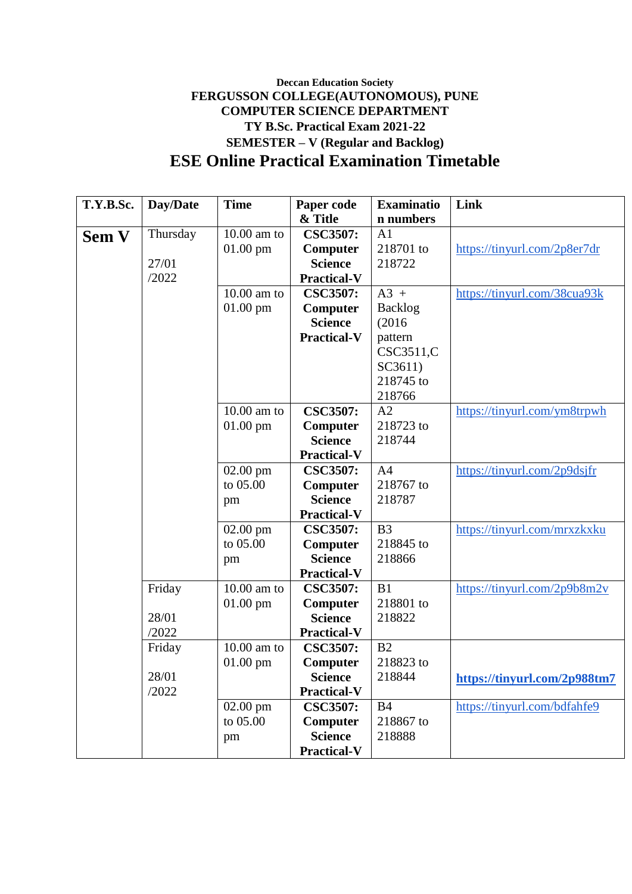## **Deccan Education Society FERGUSSON COLLEGE(AUTONOMOUS), PUNE COMPUTER SCIENCE DEPARTMENT TY B.Sc. Practical Exam 2021-22 SEMESTER – V (Regular and Backlog) ESE Online Practical Examination Timetable**

| T.Y.B.Sc.    | Day/Date | <b>Time</b>   | Paper code         | <b>Examinatio</b> | Link                         |
|--------------|----------|---------------|--------------------|-------------------|------------------------------|
|              |          |               | & Title            | n numbers         |                              |
| <b>Sem V</b> | Thursday | $10.00$ am to | <b>CSC3507:</b>    | A <sub>1</sub>    |                              |
|              |          | $01.00$ pm    | Computer           | 218701 to         | https://tinyurl.com/2p8er7dr |
|              | 27/01    |               | <b>Science</b>     | 218722            |                              |
|              | /2022    |               | <b>Practical-V</b> |                   |                              |
|              |          | $10.00$ am to | <b>CSC3507:</b>    | $A3 +$            | https://tinyurl.com/38cua93k |
|              |          | $01.00$ pm    | Computer           | <b>Backlog</b>    |                              |
|              |          |               | <b>Science</b>     | (2016)            |                              |
|              |          |               | <b>Practical-V</b> | pattern           |                              |
|              |          |               |                    | CSC3511,C         |                              |
|              |          |               |                    | SC3611)           |                              |
|              |          |               |                    | 218745 to         |                              |
|              |          |               |                    | 218766            |                              |
|              |          | $10.00$ am to | <b>CSC3507:</b>    | A2                | https://tinyurl.com/ym8trpwh |
|              |          | $01.00$ pm    | Computer           | 218723 to         |                              |
|              |          |               | <b>Science</b>     | 218744            |                              |
|              |          |               | <b>Practical-V</b> |                   |                              |
|              |          | $02.00$ pm    | <b>CSC3507:</b>    | A <sub>4</sub>    | https://tinyurl.com/2p9dsjfr |
|              |          | to 05.00      | Computer           | 218767 to         |                              |
|              |          | pm            | <b>Science</b>     | 218787            |                              |
|              |          |               | <b>Practical-V</b> |                   |                              |
|              |          | 02.00 pm      | <b>CSC3507:</b>    | B <sub>3</sub>    | https://tinyurl.com/mrxzkxku |
|              |          | to 05.00      | Computer           | 218845 to         |                              |
|              |          | pm            | <b>Science</b>     | 218866            |                              |
|              |          |               | <b>Practical-V</b> |                   |                              |
|              | Friday   | $10.00$ am to | <b>CSC3507:</b>    | B1                | https://tinyurl.com/2p9b8m2v |
|              |          | $01.00$ pm    | Computer           | 218801 to         |                              |
|              | 28/01    |               | <b>Science</b>     | 218822            |                              |
|              | /2022    |               | <b>Practical-V</b> |                   |                              |
|              | Friday   | $10.00$ am to | <b>CSC3507:</b>    | B2                |                              |
|              |          | $01.00$ pm    | Computer           | 218823 to         |                              |
|              | 28/01    |               | <b>Science</b>     | 218844            | https://tinyurl.com/2p988tm7 |
|              | /2022    |               | <b>Practical-V</b> |                   |                              |
|              |          | $02.00$ pm    | <b>CSC3507:</b>    | <b>B4</b>         | https://tinyurl.com/bdfahfe9 |
|              |          | to 05.00      | Computer           | 218867 to         |                              |
|              |          | pm            | <b>Science</b>     | 218888            |                              |
|              |          |               | <b>Practical-V</b> |                   |                              |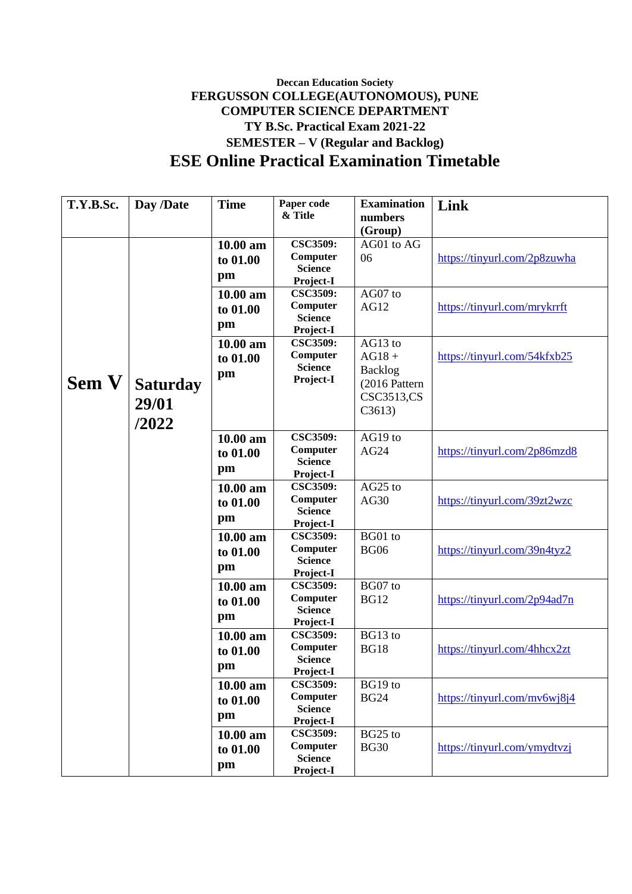## **Deccan Education Society FERGUSSON COLLEGE(AUTONOMOUS), PUNE COMPUTER SCIENCE DEPARTMENT TY B.Sc. Practical Exam 2021-22 SEMESTER – V (Regular and Backlog) ESE Online Practical Examination Timetable**

| T.Y.B.Sc.    | Day /Date       | <b>Time</b> | Paper code                   | <b>Examination</b> | Link                         |
|--------------|-----------------|-------------|------------------------------|--------------------|------------------------------|
|              |                 |             | & Title                      | numbers            |                              |
|              |                 |             |                              | (Group)            |                              |
|              |                 | 10.00 am    | <b>CSC3509:</b>              | AG01 to AG         |                              |
|              |                 | to 01.00    | Computer                     | 06                 | https://tinyurl.com/2p8zuwha |
|              |                 | pm          | <b>Science</b>               |                    |                              |
|              |                 |             | Project-I<br><b>CSC3509:</b> |                    |                              |
|              |                 | 10.00 am    | Computer                     | AG07 to            |                              |
|              |                 | to 01.00    | <b>Science</b>               | AG12               | https://tinyurl.com/mrykrrft |
|              |                 | pm          | Project-I                    |                    |                              |
|              |                 | 10.00 am    | <b>CSC3509:</b>              | AG13 to            |                              |
|              |                 | to 01.00    | Computer                     | $AG18 +$           | https://tinyurl.com/54kfxb25 |
|              |                 |             | <b>Science</b>               | Backlog            |                              |
| <b>Sem V</b> | <b>Saturday</b> | pm          | Project-I                    | (2016 Pattern      |                              |
|              |                 |             |                              | CSC3513,CS         |                              |
|              | 29/01           |             |                              | C3613)             |                              |
|              | /2022           |             |                              |                    |                              |
|              |                 | 10.00 am    | <b>CSC3509:</b>              | AG19 to            |                              |
|              |                 | to 01.00    | Computer                     | AG24               | https://tinyurl.com/2p86mzd8 |
|              |                 | pm          | <b>Science</b>               |                    |                              |
|              |                 |             | Project-I                    |                    |                              |
|              |                 | 10.00 am    | <b>CSC3509:</b>              | AG25 to            |                              |
|              |                 | to 01.00    | Computer<br><b>Science</b>   | AG30               | https://tinyurl.com/39zt2wzc |
|              |                 | pm          | Project-I                    |                    |                              |
|              |                 | $10.00$ am  | <b>CSC3509:</b>              | BG01 to            |                              |
|              |                 | to 01.00    | Computer                     | <b>BG06</b>        | https://tinyurl.com/39n4tyz2 |
|              |                 |             | <b>Science</b>               |                    |                              |
|              |                 | pm          | Project-I                    |                    |                              |
|              |                 | $10.00$ am  | <b>CSC3509:</b>              | BG07 to            |                              |
|              |                 | to 01.00    | Computer                     | <b>BG12</b>        | https://tinyurl.com/2p94ad7n |
|              |                 | pm          | <b>Science</b>               |                    |                              |
|              |                 | 10.00 am    | Project-I<br><b>CSC3509:</b> | BG13 to            |                              |
|              |                 |             | Computer                     | <b>BG18</b>        | https://tinyurl.com/4hhcx2zt |
|              |                 | to 01.00    | <b>Science</b>               |                    |                              |
|              |                 | pm          | Project-I                    |                    |                              |
|              |                 | 10.00 am    | <b>CSC3509:</b>              | BG19 to            |                              |
|              |                 | to 01.00    | Computer                     | <b>BG24</b>        | https://tinyurl.com/mv6wj8j4 |
|              |                 | pm          | <b>Science</b>               |                    |                              |
|              |                 |             | Project-I                    |                    |                              |
|              |                 | 10.00 am    | <b>CSC3509:</b>              | BG25 to            |                              |
|              |                 | to 01.00    | Computer<br><b>Science</b>   | <b>BG30</b>        | https://tinyurl.com/ymydtvzj |
|              |                 | pm          | Project-I                    |                    |                              |
|              |                 |             |                              |                    |                              |